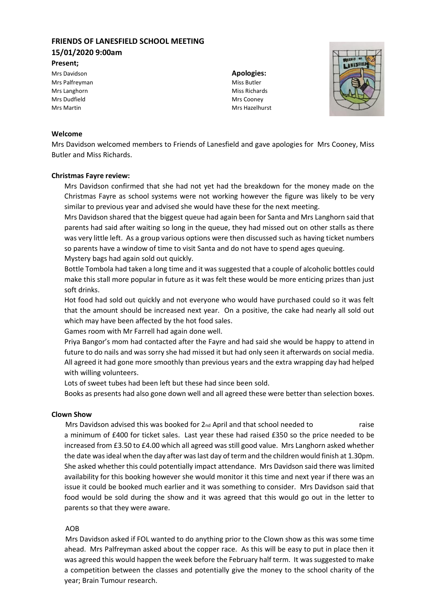# **FRIENDS OF LANESFIELD SCHOOL MEETING 15/01/2020 9:00am**

**Present;**

Mrs Davidson **Apologies:** Mrs Palfreyman Miss Butler Mrs Langhorn Miss Richards and Miss Richards Mrs Dudfield Mrs Cooney

Mrs Martin Mrs Hazelhurst



### **Welcome**

Mrs Davidson welcomed members to Friends of Lanesfield and gave apologies for Mrs Cooney, Miss Butler and Miss Richards.

### **Christmas Fayre review:**

Mrs Davidson confirmed that she had not yet had the breakdown for the money made on the Christmas Fayre as school systems were not working however the figure was likely to be very similar to previous year and advised she would have these for the next meeting.

Mrs Davidson shared that the biggest queue had again been for Santa and Mrs Langhorn said that parents had said after waiting so long in the queue, they had missed out on other stalls as there was very little left. As a group various options were then discussed such as having ticket numbers so parents have a window of time to visit Santa and do not have to spend ages queuing.

Mystery bags had again sold out quickly.

Bottle Tombola had taken a long time and it was suggested that a couple of alcoholic bottles could make this stall more popular in future as it was felt these would be more enticing prizes than just soft drinks.

Hot food had sold out quickly and not everyone who would have purchased could so it was felt that the amount should be increased next year. On a positive, the cake had nearly all sold out which may have been affected by the hot food sales.

Games room with Mr Farrell had again done well.

Priya Bangor's mom had contacted after the Fayre and had said she would be happy to attend in future to do nails and was sorry she had missed it but had only seen it afterwards on social media. All agreed it had gone more smoothly than previous years and the extra wrapping day had helped with willing volunteers.

Lots of sweet tubes had been left but these had since been sold.

Books as presents had also gone down well and all agreed these were better than selection boxes.

### **Clown Show**

Mrs Davidson advised this was booked for 2<sub>nd</sub> April and that school needed to raise a minimum of £400 for ticket sales. Last year these had raised £350 so the price needed to be increased from £3.50 to £4.00 which all agreed was still good value. Mrs Langhorn asked whether the date was ideal when the day after waslast day of term and the children would finish at 1.30pm. She asked whether this could potentially impact attendance. Mrs Davidson said there was limited availability for this booking however she would monitor it this time and next year if there was an issue it could be booked much earlier and it was something to consider. Mrs Davidson said that food would be sold during the show and it was agreed that this would go out in the letter to parents so that they were aware.

### AOB

Mrs Davidson asked if FOL wanted to do anything prior to the Clown show as this was some time ahead. Mrs Palfreyman asked about the copper race. As this will be easy to put in place then it was agreed this would happen the week before the February half term. It was suggested to make a competition between the classes and potentially give the money to the school charity of the year; Brain Tumour research.